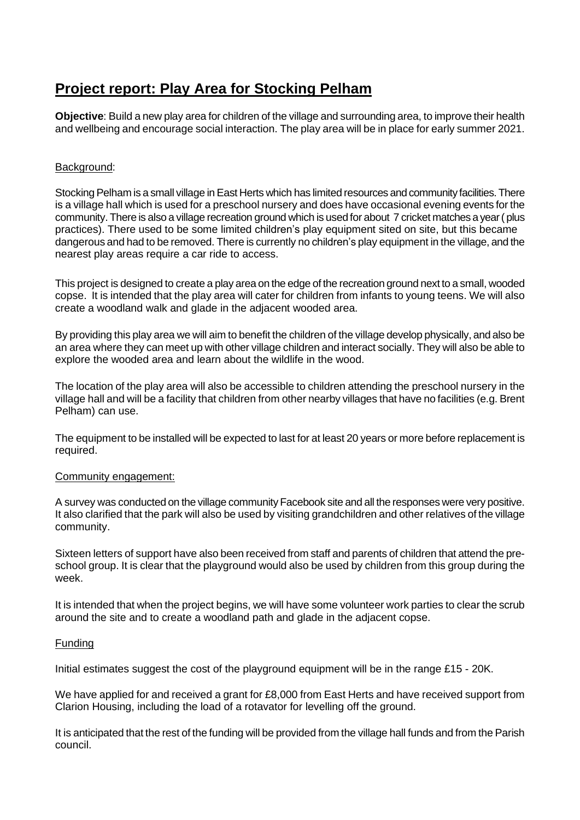# **Project report: Play Area for Stocking Pelham**

**Objective**: Build a new play area for children of the village and surrounding area, to improve their health and wellbeing and encourage social interaction. The play area will be in place for early summer 2021.

## Background:

Stocking Pelham is a small village in East Herts which has limited resources and community facilities. There is a village hall which is used for a preschool nursery and does have occasional evening events for the community. There is also a village recreation ground which is used for about 7 cricket matches a year (plus practices). There used to be some limited children's play equipment sited on site, but this became dangerous and had to be removed. There is currently no children's play equipment in the village, and the nearest play areas require a car ride to access.

This project is designed to create a play area on the edge of the recreation ground next to a small, wooded copse. It is intended that the play area will cater for children from infants to young teens. We will also create a woodland walk and glade in the adjacent wooded area.

By providing this play area we will aim to benefit the children of the village develop physically, and also be an area where they can meet up with other village children and interact socially. They will also be able to explore the wooded area and learn about the wildlife in the wood.

The location of the play area will also be accessible to children attending the preschool nursery in the village hall and will be a facility that children from other nearby villages that have no facilities (e.g. Brent Pelham) can use.

The equipment to be installed will be expected to last for at least 20 years or more before replacement is required.

### Community engagement:

A survey was conducted on the village community Facebook site and all the responses were very positive. It also clarified that the park will also be used by visiting grandchildren and other relatives of the village community.

Sixteen letters of support have also been received from staff and parents of children that attend the preschool group. It is clear that the playground would also be used by children from this group during the week.

It is intended that when the project begins, we will have some volunteer work parties to clear the scrub around the site and to create a woodland path and glade in the adjacent copse.

### Funding

Initial estimates suggest the cost of the playground equipment will be in the range £15 - 20K.

We have applied for and received a grant for £8,000 from East Herts and have received support from Clarion Housing, including the load of a rotavator for levelling off the ground.

It is anticipated that the rest of the funding will be provided from the village hall funds and from the Parish council.